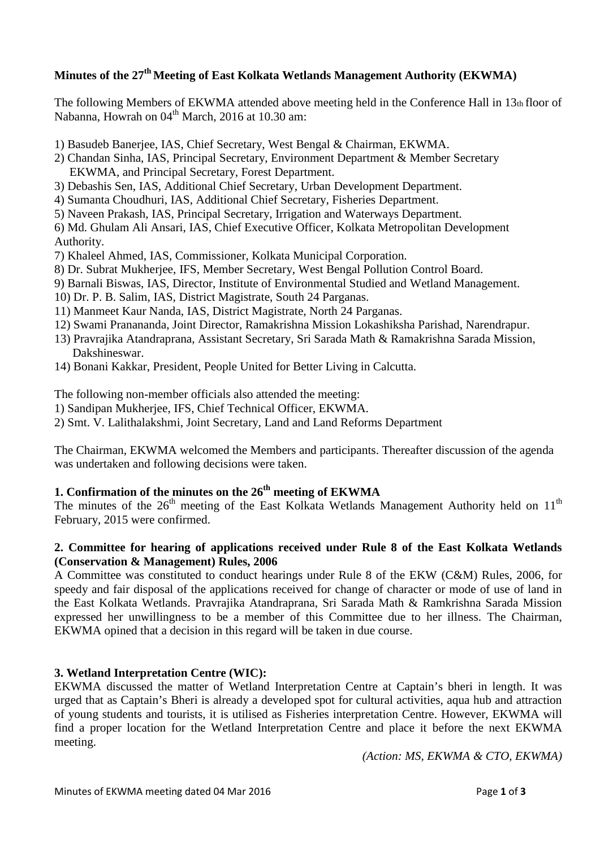## **Minutes of the 27 th Meeting of East Kolkata Wetlands Management Authority (EKWMA)**

The following Members of EKWMA attended above meeting held in the Conference Hall in 13th floor of Nabanna, Howrah on  $04<sup>th</sup>$  March, 2016 at 10.30 am:

- 1) Basudeb Banerjee, IAS, Chief Secretary, West Bengal & Chairman, EKWMA.
- 2) Chandan Sinha, IAS, Principal Secretary, Environment Department & Member Secretary EKWMA, and Principal Secretary, Forest Department.
- 3) Debashis Sen, IAS, Additional Chief Secretary, Urban Development Department.
- 4) Sumanta Choudhuri, IAS, Additional Chief Secretary, Fisheries Department.
- 5) Naveen Prakash, IAS, Principal Secretary, Irrigation and Waterways Department.

6) Md. Ghulam Ali Ansari, IAS, Chief Executive Officer, Kolkata Metropolitan Development Authority.

- 7) Khaleel Ahmed, IAS, Commissioner, Kolkata Municipal Corporation.
- 8) Dr. Subrat Mukherjee, IFS, Member Secretary, West Bengal Pollution Control Board.
- 9) Barnali Biswas, IAS, Director, Institute of Environmental Studied and Wetland Management.
- 10) Dr. P. B. Salim, IAS, District Magistrate, South 24 Parganas.
- 11) Manmeet Kaur Nanda, IAS, District Magistrate, North 24 Parganas.
- 12) Swami Pranananda, Joint Director, Ramakrishna Mission Lokashiksha Parishad, Narendrapur.
- 13) Pravrajika Atandraprana, Assistant Secretary, Sri Sarada Math & Ramakrishna Sarada Mission, Dakshineswar.
- 14) Bonani Kakkar, President, People United for Better Living in Calcutta.

The following non-member officials also attended the meeting:

1) Sandipan Mukherjee, IFS, Chief Technical Officer, EKWMA.

2) Smt. V. Lalithalakshmi, Joint Secretary, Land and Land Reforms Department

The Chairman, EKWMA welcomed the Members and participants. Thereafter discussion of the agenda was undertaken and following decisions were taken.

# **1. Confirmation of the minutes on the 26 th meeting of EKWMA**

The minutes of the  $26<sup>th</sup>$  meeting of the East Kolkata Wetlands Management Authority held on  $11<sup>th</sup>$ February, 2015 were confirmed.

### **2. Committee for hearing of applications received under Rule 8 of the East Kolkata Wetlands (Conservation & Management) Rules, 2006**

A Committee was constituted to conduct hearings under Rule 8 of the EKW (C&M) Rules, 2006, for speedy and fair disposal of the applications received for change of character or mode of use of land in the East Kolkata Wetlands. Pravrajika Atandraprana, Sri Sarada Math & Ramkrishna Sarada Mission expressed her unwillingness to be a member of this Committee due to her illness. The Chairman, EKWMA opined that a decision in this regard will be taken in due course.

## **3. Wetland Interpretation Centre (WIC):**

EKWMA discussed the matter of Wetland Interpretation Centre at Captain's bheri in length. It was urged that as Captain's Bheri is already a developed spot for cultural activities, aqua hub and attraction of young students and tourists, it is utilised as Fisheries interpretation Centre. However, EKWMA will find a proper location for the Wetland Interpretation Centre and place it before the next EKWMA meeting.

*(Action: MS, EKWMA & CTO, EKWMA)*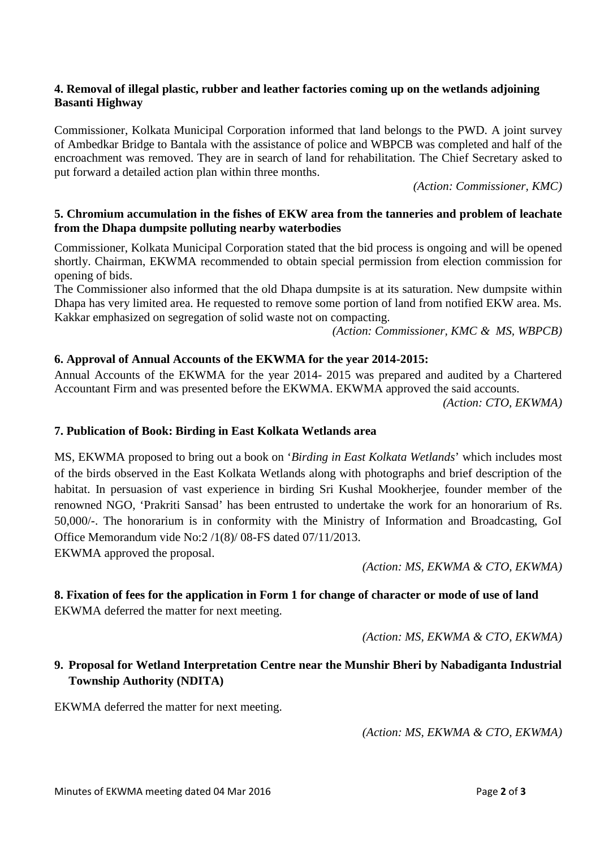#### **4. Removal of illegal plastic, rubber and leather factories coming up on the wetlands adjoining Basanti Highway**

Commissioner, Kolkata Municipal Corporation informed that land belongs to the PWD. A joint survey of Ambedkar Bridge to Bantala with the assistance of police and WBPCB was completed and half of the encroachment was removed. They are in search of land for rehabilitation. The Chief Secretary asked to put forward a detailed action plan within three months.

*(Action: Commissioner, KMC)*

#### **5. Chromium accumulation in the fishes of EKW area from the tanneries and problem of leachate from the Dhapa dumpsite polluting nearby waterbodies**

Commissioner, Kolkata Municipal Corporation stated that the bid process is ongoing and will be opened shortly. Chairman, EKWMA recommended to obtain special permission from election commission for opening of bids.

The Commissioner also informed that the old Dhapa dumpsite is at its saturation. New dumpsite within Dhapa has very limited area. He requested to remove some portion of land from notified EKW area. Ms. Kakkar emphasized on segregation of solid waste not on compacting.

*(Action: Commissioner, KMC & MS, WBPCB)*

### **6. Approval of Annual Accounts of the EKWMA for the year 2014-2015:**

Annual Accounts of the EKWMA for the year 2014- 2015 was prepared and audited by a Chartered Accountant Firm and was presented before the EKWMA. EKWMA approved the said accounts. *(Action: CTO, EKWMA)*

#### **7. Publication of Book: Birding in East Kolkata Wetlands area**

MS, EKWMA proposed to bring out a book on '*Birding in East Kolkata Wetlands*' which includes most of the birds observed in the East Kolkata Wetlands along with photographs and brief description of the habitat. In persuasion of vast experience in birding Sri Kushal Mookherjee, founder member of the renowned NGO, 'Prakriti Sansad' has been entrusted to undertake the work for an honorarium of Rs. 50,000/-. The honorarium is in conformity with the Ministry of Information and Broadcasting, GoI Office Memorandum vide No:2 /1(8)/ 08-FS dated 07/11/2013. EKWMA approved the proposal.

*(Action: MS, EKWMA & CTO, EKWMA)*

### **8. Fixation of fees for the application in Form 1 for change of character or mode of use of land** EKWMA deferred the matter for next meeting.

*(Action: MS, EKWMA & CTO, EKWMA)*

## **9. Proposal for Wetland Interpretation Centre near the Munshir Bheri by Nabadiganta Industrial Township Authority (NDITA)**

EKWMA deferred the matter for next meeting.

*(Action: MS, EKWMA & CTO, EKWMA)*